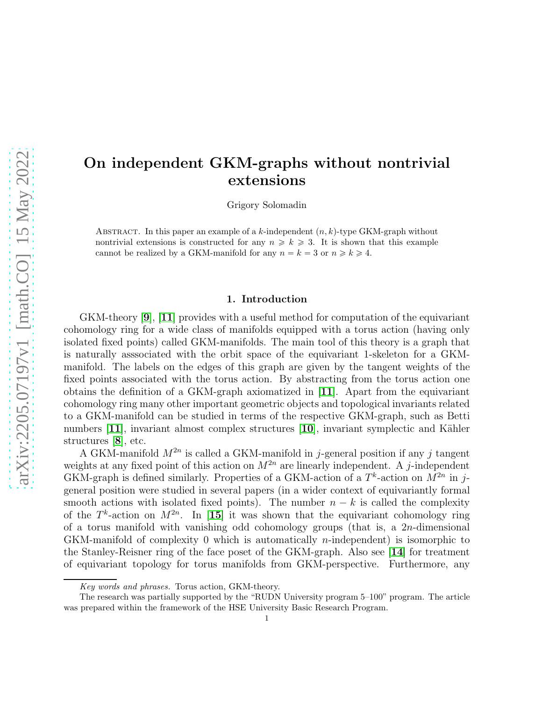# On independent GKM-graphs without nontrivial extensions

Grigory Solomadin

ABSTRACT. In this paper an example of a k-independent  $(n, k)$ -type GKM-graph without nontrivial extensions is constructed for any  $n \geq k \geq 3$ . It is shown that this example cannot be realized by a GKM-manifold for any  $n = k = 3$  or  $n \ge k \ge 4$ .

### 1. Introduction

 $GKM$ -theory  $[9]$  $[9]$  $[9]$ ,  $[11]$  $[11]$  $[11]$  provides with a useful method for computation of the equivariant cohomology ring for a wide class of manifolds equipped with a torus action (having only isolated fixed points) called GKM-manifolds. The main tool of this theory is a graph that is naturally asssociated with the orbit space of the equivariant 1-skeleton for a GKMmanifold. The labels on the edges of this graph are given by the tangent weights of the fixed points associated with the torus action. By abstracting from the torus action one obtains the definition of a GKM-graph axiomatized in [[11](#page-19-1)]. Apart from the equivariant cohomology ring many other important geometric objects and topological invariants related to a GKM-manifold can be studied in terms of the respective GKM-graph, such as Betti numbers  $[11]$  $[11]$  $[11]$ , invariant almost complex structures  $[10]$  $[10]$  $[10]$ , invariant symplectic and Kähler structures [[8](#page-19-3)], etc.

A GKM-manifold  $M^{2n}$  is called a GKM-manifold in j-general position if any j tangent weights at any fixed point of this action on  $M^{2n}$  are linearly independent. A j-independent GKM-graph is defined similarly. Properties of a GKM-action of a  $T^k$ -action on  $M^{2n}$  in jgeneral position were studied in several papers (in a wider context of equivariantly formal smooth actions with isolated fixed points). The number  $n - k$  is called the complexity of the  $T^k$ -action on  $M^{2n}$ . In [[15](#page-19-4)] it was shown that the equivariant cohomology ring of a torus manifold with vanishing odd cohomology groups (that is, a  $2n$ -dimensional GKM-manifold of complexity 0 which is automatically *n*-independent) is isomorphic to the Stanley-Reisner ring of the face poset of the GKM-graph. Also see [[14](#page-19-5)] for treatment of equivariant topology for torus manifolds from GKM-perspective. Furthermore, any

Key words and phrases. Torus action, GKM-theory.

The research was partially supported by the "RUDN University program 5–100" program. The article was prepared within the framework of the HSE University Basic Research Program.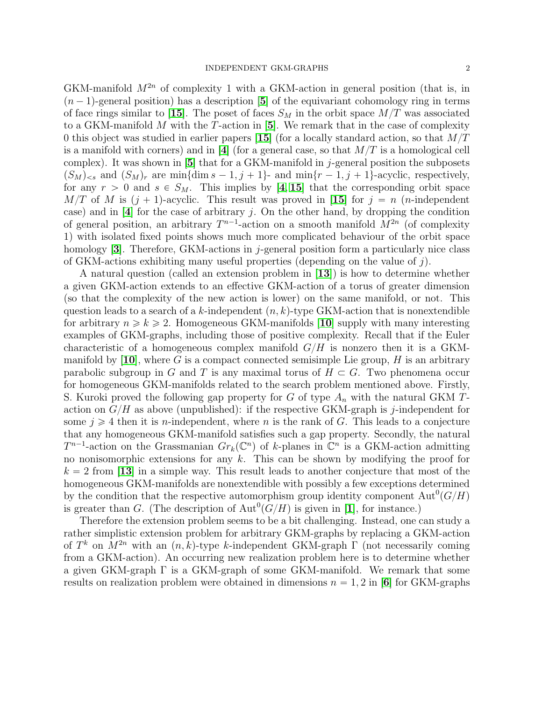GKM-manifold  $M^{2n}$  of complexity 1 with a GKM-action in general position (that is, in  $(n-1)$ -general position) has a description [[5](#page-18-0)] of the equivariant cohomology ring in terms of face rings similar to [[15](#page-19-4)]. The poset of faces  $S_M$  in the orbit space  $M/T$  was associated to a GKM-manifold M with the T-action in  $[5]$  $[5]$  $[5]$ . We remark that in the case of complexity 0 this object was studied in earlier papers [[15](#page-19-4)] (for a locally standard action, so that  $M/T$ is a manifold with corners) and in [[4](#page-18-1)] (for a general case, so that  $M/T$  is a homological cell complex). It was shown in  $[5]$  $[5]$  $[5]$  that for a GKM-manifold in j-general position the subposets  $(S_M)_{\leq s}$  and  $(S_M)_r$  are min $\{\dim s - 1, j + 1\}$ - and min $\{r - 1, j + 1\}$ -acyclic, respectively, for any  $r > 0$  and  $s \in S_M$ . This implies by [[4](#page-18-1), [15](#page-19-4)] that the corresponding orbit space  $M/T$  of M is  $(j + 1)$ -acyclic. This result was proved in [[15](#page-19-4)] for  $j = n$  (n-independent case) and in  $[4]$  $[4]$  $[4]$  for the case of arbitrary j. On the other hand, by dropping the condition of general position, an arbitrary  $T^{n-1}$ -action on a smooth manifold  $\overline{M}^{2n}$  (of complexity 1) with isolated fixed points shows much more complicated behaviour of the orbit space homology  $[3]$  $[3]$  $[3]$ . Therefore, GKM-actions in j-general position form a particularly nice class of GKM-actions exhibiting many useful properties (depending on the value of  $j$ ).

A natural question (called an extension problem in [[13](#page-19-6)]) is how to determine whether a given GKM-action extends to an effective GKM-action of a torus of greater dimension (so that the complexity of the new action is lower) on the same manifold, or not. This question leads to a search of a k-independent  $(n, k)$ -type GKM-action that is nonextendible for arbitrary  $n \geq k \geq 2$ . Homogeneous GKM-manifolds [[10](#page-19-2)] supply with many interesting examples of GKM-graphs, including those of positive complexity. Recall that if the Euler characteristic of a homogeneous complex manifold  $G/H$  is nonzero then it is a GKM-manifold by [[10](#page-19-2)], where G is a compact connected semisimple Lie group, H is an arbitrary parabolic subgroup in G and T is any maximal torus of  $H \subset G$ . Two phenomena occur for homogeneous GKM-manifolds related to the search problem mentioned above. Firstly, S. Kuroki proved the following gap property for G of type  $A_n$  with the natural GKM Taction on  $G/H$  as above (unpublished): if the respective GKM-graph is j-independent for some  $j \geq 4$  then it is *n*-independent, where *n* is the rank of *G*. This leads to a conjecture that any homogeneous GKM-manifold satisfies such a gap property. Secondly, the natural  $T^{n-1}$ -action on the Grassmanian  $Gr_k(\mathbb{C}^n)$  of k-planes in  $\mathbb{C}^n$  is a GKM-action admitting no nonisomorphic extensions for any  $k$ . This can be shown by modifying the proof for  $k = 2$  from [[13](#page-19-6)] in a simple way. This result leads to another conjecture that most of the homogeneous GKM-manifolds are nonextendible with possibly a few exceptions determined by the condition that the respective automorphism group identity component  $\text{Aut}^0(G/H)$ is greater than G. (The description of  $\text{Aut}^0(G/H)$  is given in [[1](#page-18-3)], for instance.)

Therefore the extension problem seems to be a bit challenging. Instead, one can study a rather simplistic extension problem for arbitrary GKM-graphs by replacing a GKM-action of  $T^k$  on  $M^{2n}$  with an  $(n, k)$ -type k-independent GKM-graph  $\Gamma$  (not necessarily coming from a GKM-action). An occurring new realization problem here is to determine whether a given GKM-graph Γ is a GKM-graph of some GKM-manifold. We remark that some results on realization problem were obtained in dimensions  $n = 1, 2$  in [[6](#page-19-7)] for GKM-graphs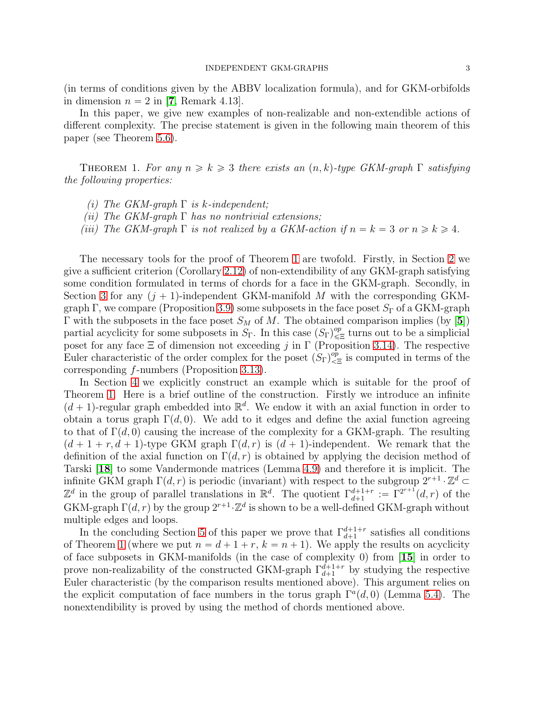(in terms of conditions given by the ABBV localization formula), and for GKM-orbifolds in dimension  $n = 2$  in [[7](#page-19-8), Remark 4.13].

In this paper, we give new examples of non-realizable and non-extendible actions of different complexity. The precise statement is given in the following main theorem of this paper (see Theorem [5.6\)](#page-17-0).

<span id="page-2-0"></span>THEOREM 1. For any  $n \geq k \geq 3$  there exists an  $(n, k)$ -type GKM-graph  $\Gamma$  satisfying the following properties:

- (i) The GKM-graph  $\Gamma$  is k-independent;
- (ii) The GKM-graph  $\Gamma$  has no nontrivial extensions;
- (iii) The GKM-graph  $\Gamma$  is not realized by a GKM-action if  $n = k = 3$  or  $n \ge k \ge 4$ .

The necessary tools for the proof of Theorem [1](#page-2-0) are twofold. Firstly, in Section [2](#page-3-0) we give a sufficient criterion (Corollary [2.12\)](#page-6-0) of non-extendibility of any GKM-graph satisfying some condition formulated in terms of chords for a face in the GKM-graph. Secondly, in Section [3](#page-6-1) for any  $(j + 1)$ -independent GKM-manifold M with the corresponding GKM-graph Γ, we compare (Proposition [3.9\)](#page-7-0) some subposets in the face poset  $S_{\Gamma}$  of a GKM-graph Γ with the subposets in the face poset  $S_M$  of M. The obtained comparison implies (by [[5](#page-18-0)]) partial acyclicity for some subposets in  $S_{\Gamma}$ . In this case  $(S_{\Gamma})_{\leq \Xi}^{op}$  turns out to be a simplicial poset for any face  $\Xi$  of dimension not exceeding j in  $\Gamma$  (Proposition [3.14\)](#page-9-0). The respective Euler characteristic of the order complex for the poset  $(S_{\Gamma})_{\leq \Xi}^{op}$  is computed in terms of the corresponding f-numbers (Proposition [3.13\)](#page-9-1).

In Section [4](#page-9-2) we explicitly construct an example which is suitable for the proof of Theorem [1.](#page-2-0) Here is a brief outline of the construction. Firstly we introduce an infinite  $(d+1)$ -regular graph embedded into  $\mathbb{R}^d$ . We endow it with an axial function in order to obtain a torus graph  $\Gamma(d, 0)$ . We add to it edges and define the axial function agreeing to that of  $\Gamma(d, 0)$  causing the increase of the complexity for a GKM-graph. The resulting  $(d + 1 + r, d + 1)$ -type GKM graph  $\Gamma(d, r)$  is  $(d + 1)$ -independent. We remark that the definition of the axial function on  $\Gamma(d, r)$  is obtained by applying the decision method of Tarski [[18](#page-19-9)] to some Vandermonde matrices (Lemma [4.9\)](#page-12-0) and therefore it is implicit. The infinite GKM graph  $\Gamma(d, r)$  is periodic (invariant) with respect to the subgroup  $2^{r+1} \cdot \mathbb{Z}^d$  $\mathbb{Z}^d$  in the group of parallel translations in  $\mathbb{R}^d$ . The quotient  $\Gamma_{d+1}^{d+1+r} := \Gamma^{2^{r+1}}(d,r)$  of the GKM-graph  $\Gamma(d, r)$  by the group  $2^{r+1} \cdot \mathbb{Z}^d$  is shown to be a well-defined GKM-graph without multiple edges and loops.

In the concluding Section [5](#page-14-0) of this paper we prove that  $\Gamma_{d+1}^{d+1+r}$  satisfies all conditions of Theorem [1](#page-2-0) (where we put  $n = d + 1 + r$ ,  $k = n + 1$ ). We apply the results on acyclicity of face subposets in GKM-manifolds (in the case of complexity 0) from [[15](#page-19-4)] in order to prove non-realizability of the constructed GKM-graph  $\Gamma_{d+1}^{\tilde{d}+1+r}$  by studying the respective Euler characteristic (by the comparison results mentioned above). This argument relies on the explicit computation of face numbers in the torus graph  $\Gamma^a(d,0)$  (Lemma [5.4\)](#page-16-0). The nonextendibility is proved by using the method of chords mentioned above.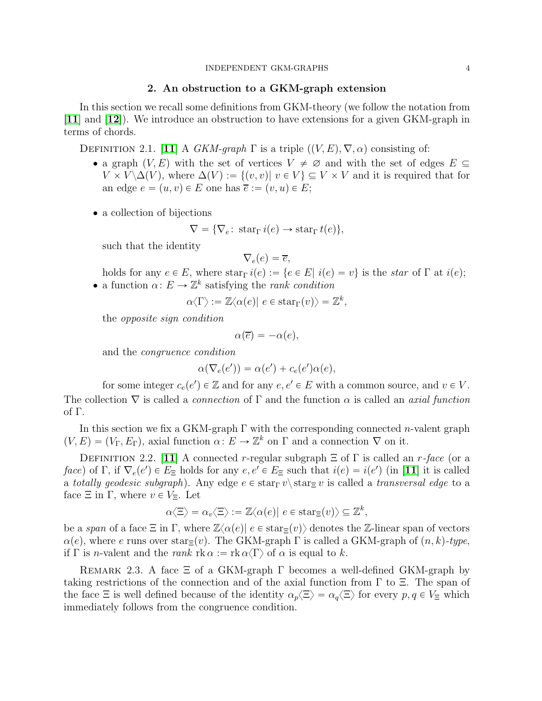## 2. An obstruction to a GKM-graph extension

<span id="page-3-0"></span>In this section we recall some definitions from GKM-theory (we follow the notation from  $[11]$  $[11]$  $[11]$  and  $[12]$  $[12]$  $[12]$ ). We introduce an obstruction to have extensions for a given GKM-graph in terms of chords.

<span id="page-3-1"></span>DEFINITION 2.1. [[11](#page-19-1)] A GKM-graph  $\Gamma$  is a triple  $((V, E), \nabla, \alpha)$  consisting of:

- a graph  $(V, E)$  with the set of vertices  $V \neq \emptyset$  and with the set of edges  $E \subseteq$  $V \times V \Delta(V)$ , where  $\Delta(V) := \{(v, v) | v \in V\} \subseteq V \times V$  and it is required that for an edge  $e = (u, v) \in E$  one has  $\overline{e} := (v, u) \in E;$
- a collection of bijections

$$
\nabla = \{ \nabla_e : \operatorname{star}_{\Gamma} i(e) \to \operatorname{star}_{\Gamma} t(e) \},
$$

such that the identity

$$
\nabla_e(e) = \overline{e},
$$

holds for any  $e \in E$ , where  $\text{star}_{\Gamma} i(e) := \{e \in E | i(e) = v\}$  is the star of  $\Gamma$  at  $i(e)$ ; • a function  $\alpha: E \to \mathbb{Z}^k$  satisfying the *rank condition* 

$$
\alpha \langle \Gamma \rangle := \mathbb{Z} \langle \alpha(e) | e \in \text{star}_{\Gamma}(v) \rangle = \mathbb{Z}^k,
$$

the opposite sign condition

$$
\alpha(\overline{e}) = -\alpha(e),
$$

and the congruence condition

$$
\alpha(\nabla_e(e')) = \alpha(e') + c_e(e')\alpha(e),
$$

for some integer  $c_e(e') \in \mathbb{Z}$  and for any  $e, e' \in E$  with a common source, and  $v \in V$ . The collection  $\nabla$  is called a *connection* of  $\Gamma$  and the function  $\alpha$  is called an *axial function* of Γ.

In this section we fix a GKM-graph  $\Gamma$  with the corresponding connected *n*-valent graph  $(V, E) = (V_{\Gamma}, E_{\Gamma})$ , axial function  $\alpha: E \to \mathbb{Z}^k$  on  $\Gamma$  and a connection  $\nabla$  on it.

DEFINITION 2.2. [[11](#page-19-1)] A connected r-regular subgraph  $\Xi$  of  $\Gamma$  is called an r-face (or a face) of  $\Gamma$ , if  $\nabla_e(e') \in E_{\Xi}$  holds for any  $e, e' \in E_{\Xi}$  such that  $i(e) = i(e')$  (in [[11](#page-19-1)] it is called a totally geodesic subgraph). Any edge  $e \in \text{star}_{\Gamma} v \setminus \text{star}_{\Xi} v$  is called a transversal edge to a face  $\Xi$  in  $\Gamma$ , where  $v \in V_{\Xi}$ . Let

$$
\alpha \langle \Xi \rangle = \alpha_v \langle \Xi \rangle := \mathbb{Z} \langle \alpha(e) | e \in \text{star}_{\Xi}(v) \rangle \subseteq \mathbb{Z}^k,
$$

be a span of a face  $\Xi$  in  $\Gamma$ , where  $\mathbb{Z}\langle \alpha(e)| e \in \text{star}_{\Xi}(v) \rangle$  denotes the  $\mathbb{Z}$ -linear span of vectors  $\alpha(e)$ , where e runs over star $\Xi(v)$ . The GKM-graph  $\Gamma$  is called a GKM-graph of  $(n, k)$ -type, if  $\Gamma$  is *n*-valent and the *rank*  $\text{rk } \alpha := \text{rk } \alpha \langle \Gamma \rangle$  of  $\alpha$  is equal to k.

REMARK 2.3. A face  $\Xi$  of a GKM-graph  $\Gamma$  becomes a well-defined GKM-graph by taking restrictions of the connection and of the axial function from  $\Gamma$  to  $\Xi$ . The span of the face  $\Xi$  is well defined because of the identity  $\alpha_p\langle\Xi\rangle = \alpha_q\langle\Xi\rangle$  for every  $p, q \in V_{\Xi}$  which immediately follows from the congruence condition.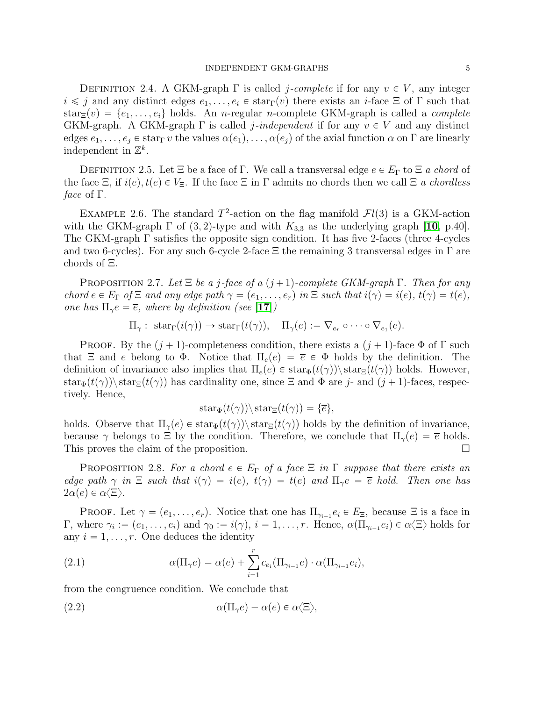DEFINITION 2.4. A GKM-graph  $\Gamma$  is called *j-complete* if for any  $v \in V$ , any integer  $i \leq j$  and any distinct edges  $e_1, \ldots, e_i \in \text{star}_{\Gamma}(v)$  there exists an *i*-face  $\Xi$  of  $\Gamma$  such that  $star_{\Xi}(v) = \{e_1, \ldots, e_i\}$  holds. An n-regular n-complete GKM-graph is called a *complete* GKM-graph. A GKM-graph  $\Gamma$  is called *j*-independent if for any  $v \in V$  and any distinct edges  $e_1, \ldots, e_i \in \text{star}_{\Gamma} v$  the values  $\alpha(e_1), \ldots, \alpha(e_i)$  of the axial function  $\alpha$  on  $\Gamma$  are linearly independent in  $\mathbb{Z}^k$ .

DEFINITION 2.5. Let  $\Xi$  be a face of Γ. We call a transversal edge  $e \in E_{\Gamma}$  to  $\Xi$  a chord of the face  $\Xi$ , if  $i(e), t(e) \in V_{\Xi}$ . If the face  $\Xi$  in  $\Gamma$  admits no chords then we call  $\Xi$  a chordless face of Γ.

<span id="page-4-4"></span>EXAMPLE 2.6. The standard  $T^2$ -action on the flag manifold  $\mathcal{F}l(3)$  is a GKM-action with the GKM-graph  $\Gamma$  of  $(3, 2)$ -type and with  $K_{3,3}$  as the underlying graph [[10](#page-19-2), p.40]. The GKM-graph  $\Gamma$  satisfies the opposite sign condition. It has five 2-faces (three 4-cycles and two 6-cycles). For any such 6-cycle 2-face  $\Xi$  the remaining 3 transversal edges in  $\Gamma$  are chords of Ξ.

<span id="page-4-2"></span>PROPOSITION 2.7. Let  $\Xi$  be a j-face of a  $(j+1)$ -complete GKM-graph  $\Gamma$ . Then for any chord  $e \in E_{\Gamma}$  of  $\Xi$  and any edge path  $\gamma = (e_1, \ldots, e_r)$  in  $\Xi$  such that  $i(\gamma) = i(e), t(\gamma) = t(e)$ , one has  $\Pi_{\gamma}e = \overline{e}$ , where by definition (see [[17](#page-19-11)])

$$
\Pi_{\gamma}: \ \operatorname{star}_{\Gamma}(i(\gamma)) \to \operatorname{star}_{\Gamma}(t(\gamma)), \quad \Pi_{\gamma}(e) := \nabla_{e_r} \circ \cdots \circ \nabla_{e_1}(e).
$$

**PROOF.** By the  $(j + 1)$ -completeness condition, there exists a  $(j + 1)$ -face  $\Phi$  of  $\Gamma$  such that  $\Xi$  and e belong to  $\Phi$ . Notice that  $\Pi_e(e) = \overline{e} \in \Phi$  holds by the definition. The definition of invariance also implies that  $\Pi_e(e) \in \text{star}_{\Phi}(t(\gamma)) \setminus \text{star}_{\Xi}(t(\gamma))$  holds. However,  $\text{star}_{\Phi}(t(\gamma)) \setminus \text{star}_{\Xi}(t(\gamma))$  has cardinality one, since  $\Xi$  and  $\Phi$  are j- and  $(j+1)$ -faces, respectively. Hence,

$$
star_{\Phi}(t(\gamma))\backslash star_{\Xi}(t(\gamma)) = {\overline{e}},
$$

holds. Observe that  $\Pi_{\gamma}(e) \in \text{star}_{\Phi}(t(\gamma)) \setminus \text{star}_{\Xi}(t(\gamma))$  holds by the definition of invariance, because  $\gamma$  belongs to  $\Xi$  by the condition. Therefore, we conclude that  $\Pi_{\gamma}(e) = \overline{e}$  holds. This proves the claim of the proposition.

<span id="page-4-3"></span>**PROPOSITION** 2.8. For a chord  $e \in E_\Gamma$  of a face  $\Xi$  in  $\Gamma$  suppose that there exists an edge path  $\gamma$  in  $\Xi$  such that  $i(\gamma) = i(e), t(\gamma) = t(e)$  and  $\Pi_{\gamma}e = \overline{e}$  hold. Then one has  $2\alpha(e) \in \alpha\langle \Xi \rangle$ .

**PROOF.** Let  $\gamma = (e_1, \ldots, e_r)$ . Notice that one has  $\Pi_{\gamma_{i-1}} e_i \in E_{\Xi}$ , because  $\Xi$  is a face in Γ, where  $\gamma_i := (e_1, \ldots, e_i)$  and  $\gamma_0 := i(\gamma), i = 1, \ldots, r$ . Hence,  $\alpha(\Pi_{\gamma_{i-1}} e_i) \in \alpha \langle \Xi \rangle$  holds for any  $i = 1, \ldots, r$ . One deduces the identity

<span id="page-4-1"></span>(2.1) 
$$
\alpha(\Pi_{\gamma}e) = \alpha(e) + \sum_{i=1}^{r} c_{e_i}(\Pi_{\gamma_{i-1}}e) \cdot \alpha(\Pi_{\gamma_{i-1}}e_i),
$$

from the congruence condition. We conclude that

<span id="page-4-0"></span>(2.2) 
$$
\alpha(\Pi_{\gamma}e) - \alpha(e) \in \alpha \langle \Xi \rangle,
$$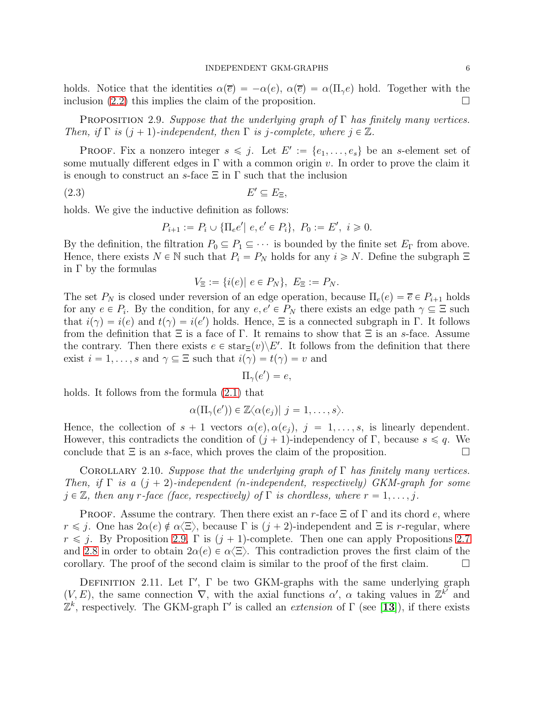holds. Notice that the identities  $\alpha(\bar{e}) = -\alpha(e), \alpha(\bar{e}) = \alpha(\Pi_{\gamma}e)$  hold. Together with the inclusion [\(2.2\)](#page-4-0) this implies the claim of the proposition.

<span id="page-5-0"></span>PROPOSITION 2.9. Suppose that the underlying graph of  $\Gamma$  has finitely many vertices. Then, if  $\Gamma$  is  $(j + 1)$ -independent, then  $\Gamma$  is j-complete, where  $j \in \mathbb{Z}$ .

**PROOF.** Fix a nonzero integer  $s \leq j$ . Let  $E' := \{e_1, \ldots, e_s\}$  be an s-element set of some mutually different edges in  $\Gamma$  with a common origin v. In order to prove the claim it is enough to construct an s-face  $\Xi$  in  $\Gamma$  such that the inclusion

$$
(2.3) \t\t\t E' \subseteq E_{\Xi},
$$

holds. We give the inductive definition as follows:

$$
P_{i+1} := P_i \cup \{\Pi_e e' \mid e, e' \in P_i\}, \ P_0 := E', \ i \geq 0.
$$

By the definition, the filtration  $P_0 \subseteq P_1 \subseteq \cdots$  is bounded by the finite set  $E_\Gamma$  from above. Hence, there exists  $N \in \mathbb{N}$  such that  $P_i = P_N$  holds for any  $i \ge N$ . Define the subgraph  $\Xi$ in Γ by the formulas

$$
V_{\Xi} := \{i(e) | e \in P_N\}, E_{\Xi} := P_N.
$$

The set  $P_N$  is closed under reversion of an edge operation, because  $\Pi_e(e) = \overline{e} \in P_{i+1}$  holds for any  $e \in P_i$ . By the condition, for any  $e, e' \in P_N$  there exists an edge path  $\gamma \subseteq \Xi$  such that  $i(\gamma) = i(e)$  and  $t(\gamma) = i(e')$  holds. Hence, Ξ is a connected subgraph in Γ. It follows from the definition that  $\Xi$  is a face of  $\Gamma$ . It remains to show that  $\Xi$  is an s-face. Assume the contrary. Then there exists  $e \in \text{star}_{\Xi}(v) \backslash E'$ . It follows from the definition that there exist  $i = 1, ..., s$  and  $\gamma \subseteq \Xi$  such that  $i(\gamma) = t(\gamma) = v$  and

$$
\Pi_{\gamma}(e') = e,
$$

holds. It follows from the formula [\(2.1\)](#page-4-1) that

$$
\alpha(\Pi_{\gamma}(e')) \in \mathbb{Z}\langle \alpha(e_j)| j=1,\ldots,s\rangle.
$$

Hence, the collection of  $s + 1$  vectors  $\alpha(e), \alpha(e_i), j = 1, \ldots, s$ , is linearly dependent. However, this contradicts the condition of  $(j + 1)$ -independency of Γ, because  $s \leq q$ . We conclude that  $\Xi$  is an s-face, which proves the claim of the proposition.

COROLLARY 2.10. Suppose that the underlying graph of  $\Gamma$  has finitely many vertices. Then, if  $\Gamma$  is a  $(j + 2)$ -independent (n-independent, respectively) GKM-graph for some  $j \in \mathbb{Z}$ , then any r-face (face, respectively) of  $\Gamma$  is chordless, where  $r = 1, \ldots, j$ .

**PROOF.** Assume the contrary. Then there exist an r-face  $\Xi$  of  $\Gamma$  and its chord e, where  $r \leq j$ . One has  $2\alpha(e) \notin \alpha \langle \Xi \rangle$ , because  $\Gamma$  is  $(j + 2)$ -independent and  $\Xi$  is r-regular, where  $r \leq j$ . By Proposition [2.9,](#page-5-0)  $\Gamma$  is  $(j + 1)$ -complete. Then one can apply Propositions [2.7](#page-4-2) and [2.8](#page-4-3) in order to obtain  $2\alpha(e) \in \alpha\langle \Xi \rangle$ . This contradiction proves the first claim of the corollary. The proof of the second claim is similar to the proof of the first claim.  $\Box$ 

DEFINITION 2.11. Let  $\Gamma'$ ,  $\Gamma$  be two GKM-graphs with the same underlying graph  $(V, E)$ , the same connection  $\nabla$ , with the axial functions  $\alpha'$ ,  $\alpha$  taking values in  $\mathbb{Z}^{k'}$  and  $\mathbb{Z}^k$ , respectively. The GKM-graph Γ' is called an *extension* of Γ (see [[13](#page-19-6)]), if there exists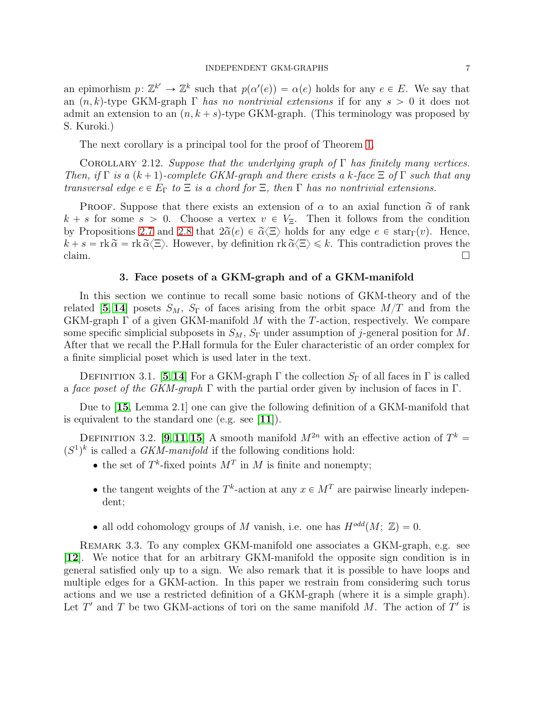an epimorhism  $p: \mathbb{Z}^{k'} \to \mathbb{Z}^k$  such that  $p(\alpha'(e)) = \alpha(e)$  holds for any  $e \in E$ . We say that an  $(n, k)$ -type GKM-graph Γ has no nontrivial extensions if for any  $s > 0$  it does not admit an extension to an  $(n, k + s)$ -type GKM-graph. (This terminology was proposed by S. Kuroki.)

The next corollary is a principal tool for the proof of Theorem [1.](#page-2-0)

<span id="page-6-0"></span>COROLLARY 2.12. Suppose that the underlying graph of  $\Gamma$  has finitely many vertices. Then, if  $\Gamma$  is a  $(k + 1)$ -complete GKM-graph and there exists a k-face  $\Xi$  of  $\Gamma$  such that any transversal edge  $e \in E_{\Gamma}$  to  $\Xi$  is a chord for  $\Xi$ , then  $\Gamma$  has no nontrivial extensions.

**PROOF.** Suppose that there exists an extension of  $\alpha$  to an axial function  $\tilde{\alpha}$  of rank  $k + s$  for some  $s > 0$ . Choose a vertex  $v \in V_{\Xi}$ . Then it follows from the condition by Propositions [2.7](#page-4-2) and [2.8](#page-4-3) that  $2\tilde{\alpha}(e) \in \tilde{\alpha}(\Xi)$  holds for any edge  $e \in \text{star}_{\Gamma}(v)$ . Hence,  $k + s = \text{rk } \tilde{\alpha} = \text{rk } \tilde{\alpha} \langle \Xi \rangle$ . However, by definition  $\text{rk } \tilde{\alpha} \langle \Xi \rangle \leq k$ . This contradiction proves the claim. claim.  $\Box$ 

## 3. Face posets of a GKM-graph and of a GKM-manifold

<span id="page-6-1"></span>In this section we continue to recall some basic notions of GKM-theory and of the related [[5](#page-18-0), [14](#page-19-5)] posets  $S_M$ ,  $S_{\Gamma}$  of faces arising from the orbit space  $M/T$  and from the GKM-graph  $\Gamma$  of a given GKM-manifold M with the T-action, respectively. We compare some specific simplicial subposets in  $S_M$ ,  $S_{\Gamma}$  under assumption of j-general position for M. After that we recall the P.Hall formula for the Euler characteristic of an order complex for a finite simplicial poset which is used later in the text.

DEFINITION 3.1. [[5](#page-18-0),[14](#page-19-5)] For a GKM-graph  $\Gamma$  the collection  $S_{\Gamma}$  of all faces in  $\Gamma$  is called a face poset of the GKM-graph  $\Gamma$  with the partial order given by inclusion of faces in  $\Gamma$ .

Due to [[15](#page-19-4), Lemma 2.1] one can give the following definition of a GKM-manifold that is equivalent to the standard one (e.g. see [[11](#page-19-1)]).

DEFINITION 3.2. [[9](#page-19-0), [11](#page-19-1), [15](#page-19-4)] A smooth manifold  $M^{2n}$  with an effective action of  $T^k$  =  $(S^1)^k$  is called a *GKM-manifold* if the following conditions hold:

- the set of  $T^k$ -fixed points  $M^T$  in M is finite and nonempty;
- the tangent weights of the  $T^k$ -action at any  $x \in M^T$  are pairwise linearly independent;
- all odd cohomology groups of M vanish, i.e. one has  $H^{odd}(M; \mathbb{Z}) = 0$ .

Remark 3.3. To any complex GKM-manifold one associates a GKM-graph, e.g. see [[12](#page-19-10)]. We notice that for an arbitrary GKM-manifold the opposite sign condition is in general satisfied only up to a sign. We also remark that it is possible to have loops and multiple edges for a GKM-action. In this paper we restrain from considering such torus actions and we use a restricted definition of a GKM-graph (where it is a simple graph). Let  $T'$  and  $T$  be two GKM-actions of tori on the same manifold  $M$ . The action of  $T'$  is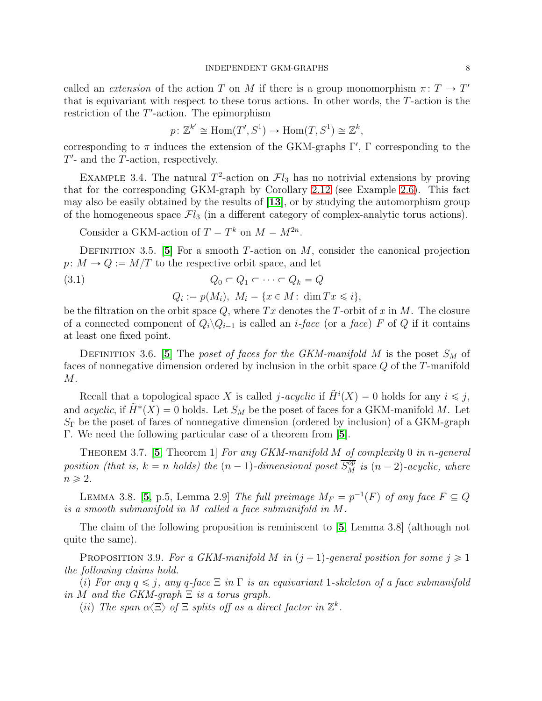called an *extension* of the action T on M if there is a group monomorphism  $\pi: T \to T'$ that is equivariant with respect to these torus actions. In other words, the T-action is the restriction of the  $T'$ -action. The epimorphism

$$
p: \mathbb{Z}^{k'} \cong \text{Hom}(T', S^1) \to \text{Hom}(T, S^1) \cong \mathbb{Z}^k
$$
,

corresponding to  $\pi$  induces the extension of the GKM-graphs  $\Gamma'$ ,  $\Gamma$  corresponding to the  $T'$ - and the  $T$ -action, respectively.

EXAMPLE 3.4. The natural  $T^2$ -action on  $\mathcal{F}l_3$  has no notrivial extensions by proving that for the corresponding GKM-graph by Corollary [2.12](#page-6-0) (see Example [2.6\)](#page-4-4). This fact may also be easily obtained by the results of [[13](#page-19-6)], or by studying the automorphism group of the homogeneous space  $\mathcal{F}l_3$  (in a different category of complex-analytic torus actions).

Consider a GKM-action of  $T = T^k$  on  $M = M^{2n}$ .

DEFINITION 3.[5](#page-18-0). [5] For a smooth T-action on  $M$ , consider the canonical projection  $p: M \to Q := M/T$  to the respective orbit space, and let

(3.1) 
$$
Q_0 \subset Q_1 \subset \cdots \subset Q_k = Q
$$

$$
Q_i := p(M_i), \ M_i = \{x \in M : \dim Tx \leq i\},
$$

be the filtration on the orbit space  $Q$ , where  $Tx$  denotes the T-orbit of x in M. The closure of a connected component of  $Q_i \backslash Q_{i-1}$  is called an *i-face* (or a *face*) F of Q if it contains at least one fixed point.

DEFINITION 3.6. [[5](#page-18-0)] The poset of faces for the GKM-manifold M is the poset  $S_M$  of faces of nonnegative dimension ordered by inclusion in the orbit space Q of the T-manifold M.

Recall that a topological space X is called j-acyclic if  $\tilde{H}^i(X) = 0$  holds for any  $i \leq j$ , and *acyclic*, if  $\tilde{H}^*(X) = 0$  holds. Let  $S_M$  be the poset of faces for a GKM-manifold M. Let  $S_{\Gamma}$  be the poset of faces of nonnegative dimension (ordered by inclusion) of a GKM-graph Γ. We need the following particular case of a theorem from [[5](#page-18-0)].

<span id="page-7-2"></span>THEOREM 3.7. [[5](#page-18-0), Theorem 1] For any GKM-manifold  $M$  of complexity 0 in n-general position (that is,  $k = n$  holds) the  $(n - 1)$ -dimensional poset  $\overline{S_M^{op}}$  is  $(n - 2)$ -acyclic, where  $n \geqslant 2$ .

<span id="page-7-1"></span>LEMMA 3.8. [[5](#page-18-0), p.5, Lemma 2.9] The full preimage  $M_F = p^{-1}(F)$  of any face  $F \subseteq Q$ is a smooth submanifold in M called a face submanifold in M.

The claim of the following proposition is reminiscent to [[5](#page-18-0), Lemma 3.8] (although not quite the same).

<span id="page-7-0"></span>PROPOSITION 3.9. For a GKM-manifold M in  $(j + 1)$ -general position for some  $j \geq 1$ the following claims hold.

(i) For any  $q \leq j$ , any q-face  $\Xi$  in  $\Gamma$  is an equivariant 1-skeleton of a face submanifold in M and the GKM-graph  $\Xi$  is a torus graph.

(ii) The span  $\alpha \langle \Xi \rangle$  of  $\Xi$  splits off as a direct factor in  $\mathbb{Z}^k$ .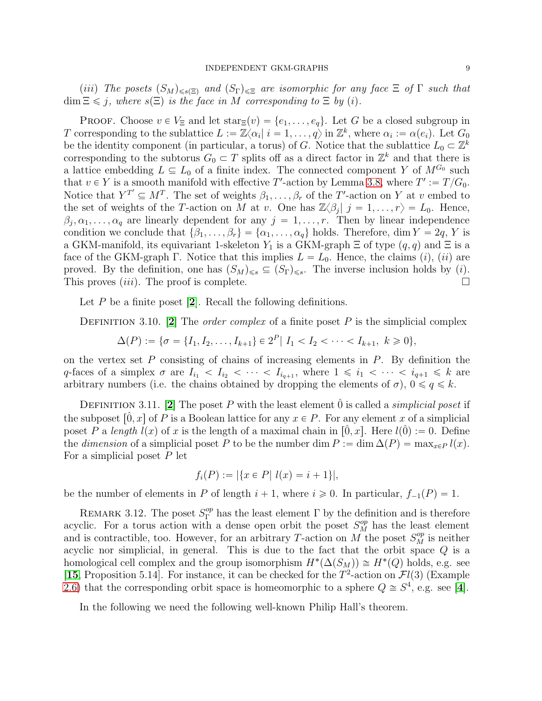(iii) The posets  $(S_M)_{\leq s(\Xi)}$  and  $(S_{\Gamma})_{\leq \Xi}$  are isomorphic for any face  $\Xi$  of  $\Gamma$  such that  $\dim \Xi \leq j$ , where  $s(\Xi)$  is the face in M corresponding to  $\Xi$  by (i).

**PROOF.** Choose  $v \in V_{\Xi}$  and let  $\text{star}_{\Xi}(v) = \{e_1, \ldots, e_q\}$ . Let G be a closed subgroup in T corresponding to the sublattice  $L := \mathbb{Z}\langle \alpha_i | i = 1, \ldots, q \rangle$  in  $\mathbb{Z}^k$ , where  $\alpha_i := \alpha(e_i)$ . Let  $G_0$ be the identity component (in particular, a torus) of G. Notice that the sublattice  $L_0 \subset \mathbb{Z}^k$ corresponding to the subtorus  $G_0 \subset T$  splits off as a direct factor in  $\mathbb{Z}^k$  and that there is a lattice embedding  $L \subseteq L_0$  of a finite index. The connected component Y of  $M^{G_0}$  such that  $v \in Y$  is a smooth manifold with effective T'-action by Lemma [3.8,](#page-7-1) where  $T' := T/G_0$ . Notice that  $Y^{T'} \subseteq M^T$ . The set of weights  $\beta_1, \ldots, \beta_r$  of the T'-action on Y at v embed to the set of weights of the T-action on M at v. One has  $\mathbb{Z}\langle \beta_j | j = 1, \ldots, r \rangle = L_0$ . Hence,  $\beta_j, \alpha_1, \ldots, \alpha_q$  are linearly dependent for any  $j = 1, \ldots, r$ . Then by linear independence condition we conclude that  $\{\beta_1, \ldots, \beta_r\} = \{\alpha_1, \ldots, \alpha_q\}$  holds. Therefore, dim  $Y = 2q$ , Y is a GKM-manifold, its equivariant 1-skeleton  $Y_1$  is a GKM-graph  $\Xi$  of type  $(q, q)$  and  $\Xi$  is a face of the GKM-graph Γ. Notice that this implies  $L = L_0$ . Hence, the claims *(i)*, *(ii)* are proved. By the definition, one has  $(S_M)_{\leq s} \subseteq (S_{\Gamma})_{\leq s}$ . The inverse inclusion holds by *(i)*. This proves *(iii)*. The proof is complete.

Let  $P$  be a finite poset  $[2]$  $[2]$  $[2]$ . Recall the following definitions.

DEFINITION 3.10. [[2](#page-18-4)] The *order complex* of a finite poset P is the simplicial complex

$$
\Delta(P) := \{ \sigma = \{I_1, I_2, \dots, I_{k+1} \} \in 2^P | I_1 < I_2 < \dots < I_{k+1}, \ k \geq 0 \},
$$

on the vertex set  $P$  consisting of chains of increasing elements in  $P$ . By definition the q-faces of a simplex  $\sigma$  are  $I_{i_1} < I_{i_2} < \cdots < I_{i_{q+1}}$ , where  $1 \leq i_1 < \cdots < i_{q+1} \leq k$  are arbitrary numbers (i.e. the chains obtained by dropping the elements of  $\sigma$ ),  $0 \leq \alpha \leq k$ .

DEFINITION 3.11. [[2](#page-18-4)] The poset P with the least element  $\hat{0}$  is called a *simplicial poset* if the subposet  $\left[0, x\right]$  of P is a Boolean lattice for any  $x \in P$ . For any element x of a simplicial poset P a length  $l(x)$  of x is the length of a maximal chain in  $[0, x]$ . Here  $l(\hat{0}) := 0$ . Define the *dimension* of a simplicial poset P to be the number dim  $P := \dim \Delta(P) = \max_{x \in P} l(x)$ . For a simplicial poset  $P$  let

$$
f_i(P) := |\{x \in P \mid l(x) = i + 1\}|,
$$

be the number of elements in P of length  $i + 1$ , where  $i \ge 0$ . In particular,  $f_{-1}(P) = 1$ .

REMARK 3.12. The poset  $S_{\Gamma}^{op}$  has the least element  $\Gamma$  by the definition and is therefore acyclic. For a torus action with a dense open orbit the poset  $S_M^{op}$  has the least element and is contractible, too. However, for an arbitrary T-action on M the poset  $S_M^{op}$  is neither acyclic nor simplicial, in general. This is due to the fact that the orbit space  $Q$  is a homological cell complex and the group isomorphism  $H^*(\Delta(S_M)) \cong H^*(Q)$  holds, e.g. see [[15](#page-19-4), Proposition 5.14]. For instance, it can be checked for the  $T^2$ -action on  $\mathcal{F}l(3)$  (Example [2.6\)](#page-4-4) that the corresponding orbit space is homeomorphic to a sphere  $Q \cong S^4$  $Q \cong S^4$ , e.g. see [4].

In the following we need the following well-known Philip Hall's theorem.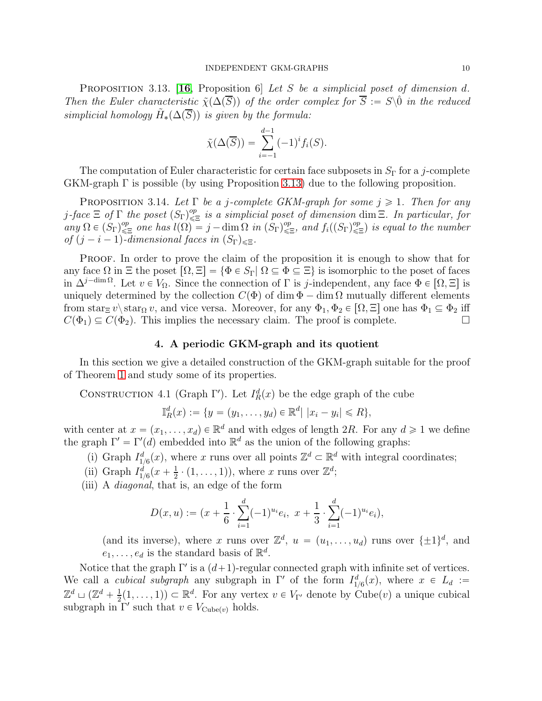<span id="page-9-1"></span>PROPOSITION 3.13. [[16](#page-19-12), Proposition 6] Let S be a simplicial poset of dimension d. Then the Euler characteristic  $\tilde{\chi}(\Delta(\overline{S}))$  of the order complex for  $\overline{S} := S\backslash\hat{0}$  in the reduced simplicial homology  $\tilde{H}_*(\Delta(\overline{S}))$  is given by the formula:

$$
\tilde{\chi}(\Delta(\overline{S})) = \sum_{i=-1}^{d-1} (-1)^i f_i(S).
$$

The computation of Euler characteristic for certain face subposets in  $S_{\Gamma}$  for a j-complete GKM-graph Γ is possible (by using Proposition [3.13\)](#page-9-1) due to the following proposition.

<span id="page-9-0"></span>PROPOSITION 3.14. Let  $\Gamma$  be a j-complete GKM-graph for some  $j \geq 1$ . Then for any j-face  $\Xi$  of  $\Gamma$  the poset  $(S_{\Gamma})_{\leq \Xi}^{op}$  is a simplicial poset of dimension dim  $\Xi$ . In particular, for any  $\Omega \in (S_{\Gamma})^{op}_{\leq \Xi}$  one has  $l(\Omega) = j - \dim \Omega$  in  $(S_{\Gamma})^{op}_{\leq \Xi}$ , and  $f_i((S_{\Gamma})^{op}_{\leq \Xi})$  is equal to the number of  $(j - i - 1)$ -dimensional faces in  $(S_{\Gamma})_{\leq \Xi}$ .

PROOF. In order to prove the claim of the proposition it is enough to show that for any face  $\Omega$  in  $\Xi$  the poset  $\lceil \Omega, \Xi \rceil = {\Phi \in S_{\Gamma} | \Omega \subseteq \Phi \subseteq \Xi }$  is isomorphic to the poset of faces in  $\Delta^{j-\dim\Omega}$ . Let  $v \in V_\Omega$ . Since the connection of  $\Gamma$  is j-independent, any face  $\Phi \in [\Omega, \Xi]$  is uniquely determined by the collection  $C(\Phi)$  of dim  $\Phi$  – dim  $\Omega$  mutually different elements from star<sub> $\Xi$ </sub> v\star<sub> $\Omega$ </sub> v, and vice versa. Moreover, for any  $\Phi_1$ ,  $\Phi_2 \in [\Omega, \Xi]$  one has  $\Phi_1 \subseteq \Phi_2$  iff  $C(\Phi_1) \subseteq C(\Phi_2)$ . This implies the necessary claim. The proof is complete.

# 4. A periodic GKM-graph and its quotient

<span id="page-9-2"></span>In this section we give a detailed construction of the GKM-graph suitable for the proof of Theorem [1](#page-2-0) and study some of its properties.

CONSTRUCTION 4.1 (Graph  $\Gamma'$ ). Let  $I_R^d(x)$  be the edge graph of the cube

$$
\mathbb{I}_R^d(x) := \{ y = (y_1, \dots, y_d) \in \mathbb{R}^d | |x_i - y_i| \le R \},\
$$

with center at  $x = (x_1, \ldots, x_d) \in \mathbb{R}^d$  and with edges of length 2R. For any  $d \geq 1$  we define the graph  $\Gamma' = \Gamma'(d)$  embedded into  $\mathbb{R}^d$  as the union of the following graphs:

- (i) Graph  $I_{1/6}^d(x)$ , where x runs over all points  $\mathbb{Z}^d \subset \mathbb{R}^d$  with integral coordinates;
- (ii) Graph  $I_{1/6}^d(x+\frac{1}{2})$  $\frac{1}{2} \cdot (1, \ldots, 1)$ , where x runs over  $\mathbb{Z}^d$ ;
- (iii) A diagonal, that is, an edge of the form

$$
D(x, u) := (x + \frac{1}{6} \cdot \sum_{i=1}^{d} (-1)^{u_i} e_i, \ x + \frac{1}{3} \cdot \sum_{i=1}^{d} (-1)^{u_i} e_i),
$$

(and its inverse), where x runs over  $\mathbb{Z}^d$ ,  $u = (u_1, \ldots, u_d)$  runs over  $\{\pm 1\}^d$ , and  $e_1, \ldots, e_d$  is the standard basis of  $\mathbb{R}^d$ .

Notice that the graph  $\Gamma'$  is a  $(d+1)$ -regular connected graph with infinite set of vertices. We call a *cubical subgraph* any subgraph in  $\Gamma'$  of the form  $I_{1/6}^d(x)$ , where  $x \in L_d :=$  $\mathbb{Z}^d \sqcup (\mathbb{Z}^d + \frac{1}{2})$  $(\frac{1}{2}(1,\ldots,1)) \subset \mathbb{R}^d$ . For any vertex  $v \in V_{\Gamma'}$  denote by Cube $(v)$  a unique cubical subgraph in  $\Gamma'$  such that  $v \in V_{\text{Cube}(v)}$  holds.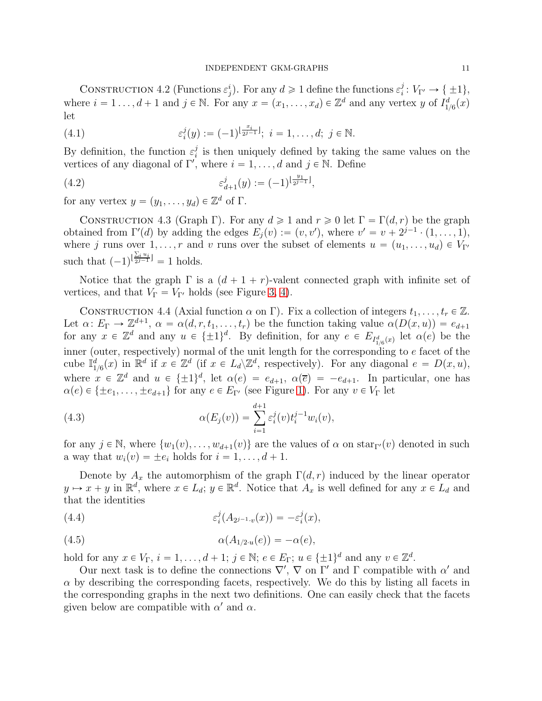<span id="page-10-0"></span>CONSTRUCTION 4.2 (Functions  $\varepsilon_j^i$ ). For any  $d \geq 1$  define the functions  $\varepsilon_i^j$  $i<sup>j</sup>: V_{\Gamma'} \rightarrow {\pm 1},$ where  $i = 1 \ldots, d + 1$  and  $j \in \mathbb{N}$ . For any  $x = (x_1, \ldots, x_d) \in \mathbb{Z}^d$  and any vertex y of  $I^d_{1/6}(x)$ let

<span id="page-10-1"></span>(4.1) 
$$
\varepsilon_i^j(y) := (-1)^{\lfloor \frac{x_i}{2^{j-1}} \rfloor}; \ i = 1, \dots, d; \ j \in \mathbb{N}.
$$

By definition, the function  $\varepsilon_i^j$  $\frac{1}{i}$  is then uniquely defined by taking the same values on the vertices of any diagonal of  $\Gamma'$ , where  $i = 1, \ldots, d$  and  $j \in \mathbb{N}$ . Define

(4.2) 
$$
\varepsilon_{d+1}^j(y) := (-1)^{\lfloor \frac{y_1}{2^{j-1}} \rfloor},
$$

for any vertex  $y = (y_1, \ldots, y_d) \in \mathbb{Z}^d$  of  $\Gamma$ .

CONSTRUCTION 4.3 (Graph Γ). For any  $d \ge 1$  and  $r \ge 0$  let  $\Gamma = \Gamma(d, r)$  be the graph obtained from  $\Gamma'(d)$  by adding the edges  $E_j(v) := (v, v')$ , where  $v' = v + 2^{j-1} \cdot (1, \ldots, 1)$ , where j runs over  $1, \ldots, r$  and v runs over the subset of elements  $u = (u_1, \ldots, u_d) \in V_{\Gamma'}$ such that  $(-1)^{\left|\frac{\sum_i u_i}{2^{j-1}}\right|} = 1$  holds.

Notice that the graph  $\Gamma$  is a  $(d + 1 + r)$ -valent connected graph with infinite set of vertices, and that  $V_{\Gamma} = V_{\Gamma'}$  holds (see Figure [3,](#page-16-1) [4\)](#page-16-2).

<span id="page-10-2"></span>CONSTRUCTION 4.4 (Axial function  $\alpha$  on  $\Gamma$ ). Fix a collection of integers  $t_1, \ldots, t_r \in \mathbb{Z}$ . Let  $\alpha\colon E_{\Gamma}\to\mathbb{Z}^{d+1}, \ \alpha=\alpha(d,r,t_1,\ldots,t_r)$  be the function taking value  $\alpha(D(x,u))=e_{d+1}$ for any  $x \in \mathbb{Z}^d$  and any  $u \in \{\pm 1\}^d$ . By definition, for any  $e \in E_{I^d_{1/6}(x)}$  let  $\alpha(e)$  be the inner (outer, respectively) normal of the unit length for the corresponding to e facet of the cube  $\mathbb{I}_{1/6}^d(x)$  in  $\mathbb{R}^d$  if  $x \in \mathbb{Z}^d$  (if  $x \in L_d \backslash \mathbb{Z}^d$ , respectively). For any diagonal  $e = D(x, u)$ , where  $x \in \mathbb{Z}^d$  and  $u \in {\{\pm 1\}}^d$ , let  $\alpha(e) = e_{d+1}$ ,  $\alpha(\overline{e}) = -e_{d+1}$ . In particular, one has  $\alpha(e) \in {\pm e_1, \ldots, \pm e_{d+1}}$  for any  $e \in E_{\Gamma'}$  (see Figure [1\)](#page-13-0). For any  $v \in V_{\Gamma}$  let

<span id="page-10-3"></span>(4.3) 
$$
\alpha(E_j(v)) = \sum_{i=1}^{d+1} \varepsilon_i^j(v) t_i^{j-1} w_i(v),
$$

for any  $j \in \mathbb{N}$ , where  $\{w_1(v), \ldots, w_{d+1}(v)\}$  are the values of  $\alpha$  on  $star_{\Gamma'}(v)$  denoted in such a way that  $w_i(v) = \pm e_i$  holds for  $i = 1, \ldots, d + 1$ .

Denote by  $A_x$  the automorphism of the graph  $\Gamma(d, r)$  induced by the linear operator  $y \mapsto x + y$  in  $\mathbb{R}^d$ , where  $x \in L_d$ ;  $y \in \mathbb{R}^d$ . Notice that  $A_x$  is well defined for any  $x \in L_d$  and that the identities

<span id="page-10-4"></span>(4.4) 
$$
\varepsilon_i^j(A_{2^{j-1}\cdot v}(x)) = -\varepsilon_i^j(x),
$$

<span id="page-10-5"></span>
$$
\alpha(A_{1/2\cdot u}(e)) = -\alpha(e),
$$

hold for any  $x \in V_{\Gamma}$ ,  $i = 1, ..., d + 1$ ;  $j \in \mathbb{N}$ ;  $e \in E_{\Gamma}$ ;  $u \in {\pm 1}^d$  and any  $v \in \mathbb{Z}^d$ .

Our next task is to define the connections  $\nabla'$ ,  $\nabla$  on  $\Gamma'$  and  $\Gamma$  compatible with  $\alpha'$  and  $\alpha$  by describing the corresponding facets, respectively. We do this by listing all facets in the corresponding graphs in the next two definitions. One can easily check that the facets given below are compatible with  $\alpha'$  and  $\alpha$ .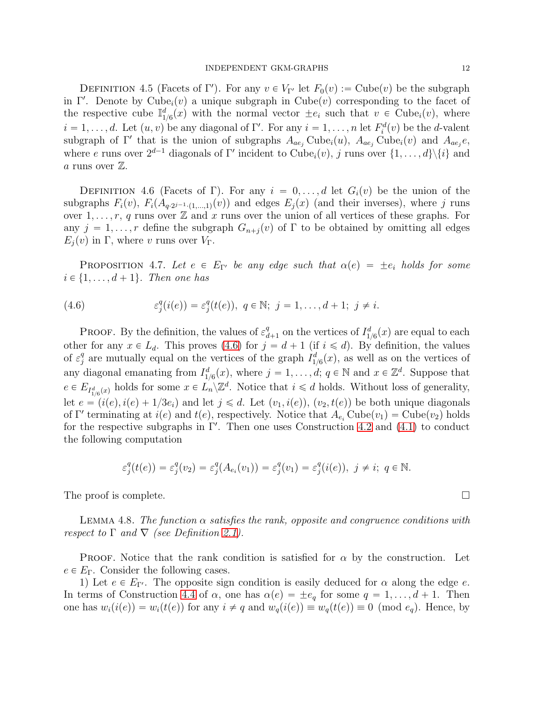DEFINITION 4.5 (Facets of Γ'). For any  $v \in V_{\Gamma'}$  let  $F_0(v) := \text{Cube}(v)$  be the subgraph in Γ'. Denote by Cube<sub>i</sub> $(v)$  a unique subgraph in Cube $(v)$  corresponding to the facet of the respective cube  $\mathbb{I}_{1/6}^d(x)$  with the normal vector  $\pm e_i$  such that  $v \in \text{Cube}_i(v)$ , where  $i = 1, \ldots, d$ . Let  $(u, v)$  be any diagonal of Γ'. For any  $i = 1, \ldots, n$  let  $F_i^d(v)$  be the d-valent subgraph of  $\Gamma'$  that is the union of subgraphs  $A_{ae_j}$  Cube<sub>i</sub> $(u)$ ,  $A_{ae_j}$  Cube<sub>i</sub> $(v)$  and  $A_{ae_j}e$ , where e runs over  $2^{d-1}$  diagonals of  $\Gamma'$  incident to  $Cube_i(v)$ , j runs over  $\{1, \ldots, d\} \setminus \{i\}$  and a runs over  $\mathbb{Z}$ .

DEFINITION 4.6 (Facets of Γ). For any  $i = 0, \ldots, d$  let  $G_i(v)$  be the union of the subgraphs  $F_i(v)$ ,  $F_i(A_{q\cdot2^{j-1}\cdot(1,\dots,1)}(v))$  and edges  $E_j(x)$  (and their inverses), where j runs over  $1, \ldots, r, q$  runs over  $\mathbb Z$  and x runs over the union of all vertices of these graphs. For any  $j = 1, \ldots, r$  define the subgraph  $G_{n+j}(v)$  of  $\Gamma$  to be obtained by omitting all edges  $E_i(v)$  in Γ, where v runs over  $V_\Gamma$ .

<span id="page-11-1"></span>**PROPOSITION** 4.7. Let  $e \in E_{\Gamma'}$  be any edge such that  $\alpha(e) = \pm e_i$  holds for some  $i \in \{1, \ldots, d + 1\}$ . Then one has

<span id="page-11-0"></span>(4.6) 
$$
\varepsilon_j^q(i(e)) = \varepsilon_j^q(t(e)), \ q \in \mathbb{N}; \ j = 1, \ldots, d+1; \ j \neq i.
$$

**PROOF.** By the definition, the values of  $\varepsilon_{d+1}^q$  on the vertices of  $I_{1/6}^d(x)$  are equal to each other for any  $x \in L_d$ . This proves [\(4.6\)](#page-11-0) for  $j = d + 1$  (if  $i \le d$ ). By definition, the values of  $\varepsilon_i^q$ <sup>q</sup> are mutually equal on the vertices of the graph  $I_{1/6}^d(x)$ , as well as on the vertices of any diagonal emanating from  $I_{1/6}^d(x)$ , where  $j = 1, \ldots, d; q \in \mathbb{N}$  and  $x \in \mathbb{Z}^d$ . Suppose that  $e \in E_{I_{1/6}^d(x)}$  holds for some  $x \in L_n \backslash \mathbb{Z}^d$ . Notice that  $i \leq d$  holds. Without loss of generality, let  $e = (i(e), i(e) + 1/3e_i)$  and let  $j \le d$ . Let  $(v_1, i(e)), (v_2, t(e))$  be both unique diagonals of  $\Gamma'$  terminating at  $i(e)$  and  $t(e)$ , respectively. Notice that  $A_{e_i}$  Cube $(v_1)$  = Cube $(v_2)$  holds for the respective subgraphs in  $\Gamma'$ . Then one uses Construction [4.2](#page-10-0) and [\(4.1\)](#page-10-1) to conduct the following computation

$$
\varepsilon_j^q(t(e)) = \varepsilon_j^q(v_2) = \varepsilon_j^q(A_{e_i}(v_1)) = \varepsilon_j^q(v_1) = \varepsilon_j^q(i(e)), \ j \neq i; \ q \in \mathbb{N}.
$$

The proof is complete.

<span id="page-11-2"></span>LEMMA 4.8. The function  $\alpha$  satisfies the rank, opposite and congruence conditions with respect to  $\Gamma$  and  $\nabla$  (see Definition [2.1\)](#page-3-1).

**PROOF.** Notice that the rank condition is satisfied for  $\alpha$  by the construction. Let  $e \in E_{\Gamma}$ . Consider the following cases.

1) Let  $e \in E_{\Gamma'}$ . The opposite sign condition is easily deduced for  $\alpha$  along the edge  $e$ . In terms of Construction [4.4](#page-10-2) of  $\alpha$ , one has  $\alpha(e) = \pm e_q$  for some  $q = 1, \ldots, d + 1$ . Then one has  $w_i(i(e)) = w_i(t(e))$  for any  $i \neq q$  and  $w_q(i(e)) \equiv w_q(t(e)) \equiv 0 \pmod{e_q}$ . Hence, by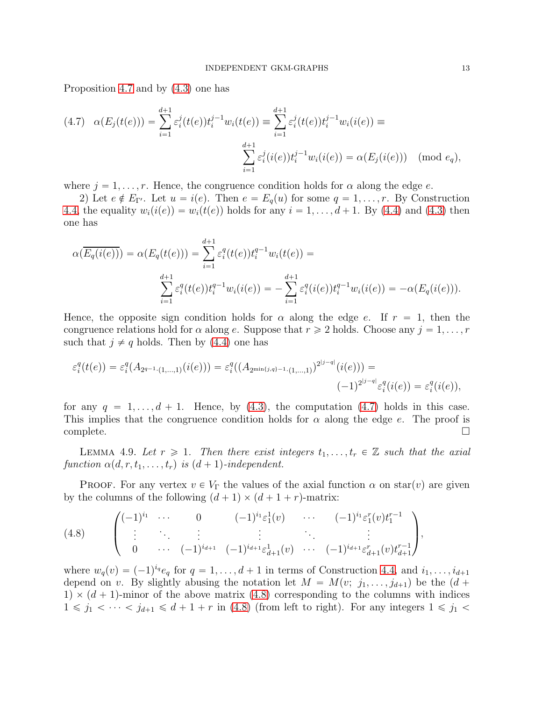Proposition [4.7](#page-11-1) and by [\(4.3\)](#page-10-3) one has

<span id="page-12-1"></span>
$$
(4.7) \quad \alpha(E_j(t(e))) = \sum_{i=1}^{d+1} \varepsilon_i^j(t(e)) t_i^{j-1} w_i(t(e)) \equiv \sum_{i=1}^{d+1} \varepsilon_i^j(t(e)) t_i^{j-1} w_i(i(e)) \equiv \sum_{i=1}^{d+1} \varepsilon_i^j(i(e)) t_i^{j-1} w_i(i(e)) = \alpha(E_j(i(e))) \pmod{e_q},
$$

where  $j = 1, \ldots, r$ . Hence, the congruence condition holds for  $\alpha$  along the edge e.

2) Let  $e \notin E_{\Gamma'}$ . Let  $u = i(e)$ . Then  $e = E_q(u)$  for some  $q = 1, \ldots, r$ . By Construction [4.4,](#page-10-2) the equality  $w_i(i(e)) = w_i(t(e))$  holds for any  $i = 1, \ldots, d + 1$ . By [\(4.4\)](#page-10-4) and [\(4.3\)](#page-10-3) then one has

$$
\alpha(\overline{E_q(i(e))}) = \alpha(E_q(t(e))) = \sum_{i=1}^{d+1} \varepsilon_i^q(t(e)) t_i^{q-1} w_i(t(e)) =
$$
  

$$
\sum_{i=1}^{d+1} \varepsilon_i^q(t(e)) t_i^{q-1} w_i(i(e)) = -\sum_{i=1}^{d+1} \varepsilon_i^q(i(e)) t_i^{q-1} w_i(i(e)) = -\alpha(E_q(i(e))).
$$

Hence, the opposite sign condition holds for  $\alpha$  along the edge e. If  $r = 1$ , then the congruence relations hold for  $\alpha$  along e. Suppose that  $r \geq 2$  holds. Choose any  $j = 1, \ldots, r$ such that  $j \neq q$  holds. Then by [\(4.4\)](#page-10-4) one has

$$
\varepsilon_i^q(t(e)) = \varepsilon_i^q(A_{2^{q-1}\cdot(1,\dots,1)}(i(e))) = \varepsilon_i^q((A_{2^{\min\{j,q\}-1}\cdot(1,\dots,1)})^{2^{|j-q|}}(i(e))) = (-1)^{2^{|j-q|}} \varepsilon_i^q(i(e)) = \varepsilon_i^q(i(e)),
$$

for any  $q = 1, \ldots, d + 1$ . Hence, by [\(4.3\)](#page-10-3), the computation [\(4.7\)](#page-12-1) holds in this case. This implies that the congruence condition holds for  $\alpha$  along the edge e. The proof is  $\Box$ complete.  $\Box$ 

<span id="page-12-0"></span>LEMMA 4.9. Let  $r \geq 1$ . Then there exist integers  $t_1, \ldots, t_r \in \mathbb{Z}$  such that the axial function  $\alpha(d, r, t_1, \ldots, t_r)$  is  $(d + 1)$ -independent.

**PROOF.** For any vertex  $v \in V_\Gamma$  the values of the axial function  $\alpha$  on star(v) are given by the columns of the following  $(d + 1) \times (d + 1 + r)$ -matrix:

<span id="page-12-2"></span>
$$
(4.8) \qquad \begin{pmatrix} (-1)^{i_1} & \cdots & 0 & (-1)^{i_1} \varepsilon_1^1(v) & \cdots & (-1)^{i_1} \varepsilon_1^r(v) t_1^{r-1} \\ \vdots & \ddots & \vdots & \vdots & \vdots \\ 0 & \cdots & (-1)^{i_{d+1}} & (-1)^{i_{d+1}} \varepsilon_{d+1}^1(v) & \cdots & (-1)^{i_{d+1}} \varepsilon_{d+1}^r(v) t_{d+1}^{r-1} \end{pmatrix},
$$

where  $w_q(v) = (-1)^{i_q} e_q$  for  $q = 1, \ldots, d + 1$  in terms of Construction [4.4,](#page-10-2) and  $i_1, \ldots, i_{d+1}$ depend on v. By slightly abusing the notation let  $M = M(v; j_1, \ldots, j_{d+1})$  be the  $(d +$ 1)  $\times$  (d + 1)-minor of the above matrix [\(4.8\)](#page-12-2) corresponding to the columns with indices  $1 \leq j_1 < \cdots < j_{d+1} \leq d+1+r$  in [\(4.8\)](#page-12-2) (from left to right). For any integers  $1 \leq j_1 <$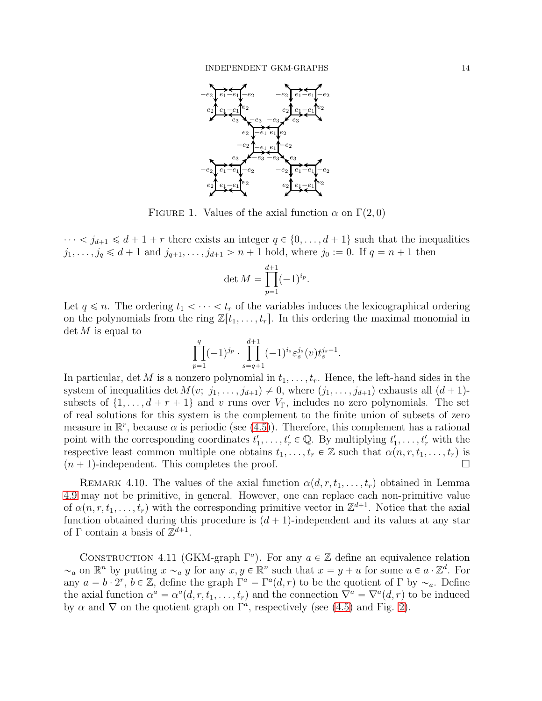<span id="page-13-0"></span>

FIGURE 1. Values of the axial function  $\alpha$  on  $\Gamma(2, 0)$ 

 $\cdots < j_{d+1} \le d+1+r$  there exists an integer  $q \in \{0, \ldots, d+1\}$  such that the inequalities  $j_1, \ldots, j_q \le d + 1$  and  $j_{q+1}, \ldots, j_{d+1} > n + 1$  hold, where  $j_0 := 0$ . If  $q = n + 1$  then

$$
\det M = \prod_{p=1}^{d+1} (-1)^{i_p}.
$$

Let  $q \leq n$ . The ordering  $t_1 < \cdots < t_r$  of the variables induces the lexicographical ordering on the polynomials from the ring  $\mathbb{Z}[t_1, \ldots, t_r]$ . In this ordering the maximal monomial in  $\det M$  is equal to

$$
\prod_{p=1}^q (-1)^{j_p} \cdot \prod_{s=q+1}^{d+1} (-1)^{i_s} \varepsilon_s^{j_s}(v) t_s^{j_s-1}.
$$

In particular, det M is a nonzero polynomial in  $t_1, \ldots, t_r$ . Hence, the left-hand sides in the system of inequalities det  $M(v; j_1, \ldots, j_{d+1}) \neq 0$ , where  $(j_1, \ldots, j_{d+1})$  exhausts all  $(d+1)$ subsets of  $\{1, \ldots, d + r + 1\}$  and v runs over  $V_{\Gamma}$ , includes no zero polynomials. The set of real solutions for this system is the complement to the finite union of subsets of zero measure in  $\mathbb{R}^r$ , because  $\alpha$  is periodic (see [\(4.5\)](#page-10-5)). Therefore, this complement has a rational point with the corresponding coordinates  $t'_1, \ldots, t'_r \in \mathbb{Q}$ . By multiplying  $t'_1, \ldots, t'_r$  with the respective least common multiple one obtains  $t_1, \ldots, t_r \in \mathbb{Z}$  such that  $\alpha(n, r, t_1, \ldots, t_r)$  is  $(n + 1)$ -independent. This completes the proof.

REMARK 4.10. The values of the axial function  $\alpha(d, r, t_1, \ldots, t_r)$  obtained in Lemma [4.9](#page-12-0) may not be primitive, in general. However, one can replace each non-primitive value of  $\alpha(n, r, t_1, \ldots, t_r)$  with the corresponding primitive vector in  $\mathbb{Z}^{d+1}$ . Notice that the axial function obtained during this procedure is  $(d + 1)$ -independent and its values at any star of  $\Gamma$  contain a basis of  $\mathbb{Z}^{d+1}$ .

CONSTRUCTION 4.11 (GKM-graph  $\Gamma^a$ ). For any  $a \in \mathbb{Z}$  define an equivalence relation  $\sim_a$  on  $\mathbb{R}^n$  by putting  $x \sim_a y$  for any  $x, y \in \mathbb{R}^n$  such that  $x = y + u$  for some  $u \in a \cdot \mathbb{Z}^d$ . For any  $a = b \cdot 2^r$ ,  $b \in \mathbb{Z}$ , define the graph  $\Gamma^a = \Gamma^a(d, r)$  to be the quotient of  $\Gamma$  by  $\sim_a$ . Define the axial function  $\alpha^a = \alpha^a(d, r, t_1, \ldots, t_r)$  and the connection  $\nabla^a = \nabla^a(d, r)$  to be induced by  $\alpha$  and  $\nabla$  on the quotient graph on  $\Gamma^a$ , respectively (see [\(4.5\)](#page-10-5) and Fig. [2\)](#page-14-1).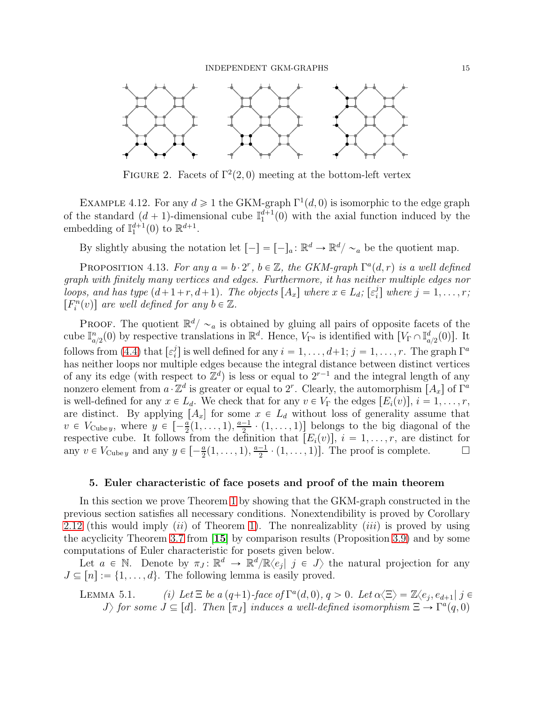<span id="page-14-1"></span>

FIGURE 2. Facets of  $\Gamma^2(2,0)$  meeting at the bottom-left vertex

EXAMPLE 4.12. For any  $d \geq 1$  the GKM-graph  $\Gamma^1(d,0)$  is isomorphic to the edge graph of the standard  $(d + 1)$ -dimensional cube  $\mathbb{I}_1^{d+1}(0)$  with the axial function induced by the embedding of  $\mathbb{I}_1^{d+1}(0)$  to  $\mathbb{R}^{d+1}$ .

By slightly abusing the notation let  $[-] = [-]_a : \mathbb{R}^d \to \mathbb{R}^d / \sim_a$  be the quotient map.

PROPOSITION 4.13. For any  $a = b \cdot 2^r$ ,  $b \in \mathbb{Z}$ , the GKM-graph  $\Gamma^a(d, r)$  is a well defined graph with finitely many vertices and edges. Furthermore, it has neither multiple edges nor loops, and has type  $(d+1+r, d+1)$ . The objects  $[A_x]$  where  $x \in L_d$ ;  $[\varepsilon_i^j]$  $i<sub>i</sub>$ ] where  $j = 1, \ldots, r;$  $[F_i^n(v)]$  are well defined for any  $b \in \mathbb{Z}$ .

**PROOF.** The quotient  $\mathbb{R}^d/\sim_a$  is obtained by gluing all pairs of opposite facets of the cube  $\mathbb{I}_{a/2}^n(0)$  by respective translations in  $\mathbb{R}^d$ . Hence,  $V_{\Gamma^a}$  is identified with  $[V_{\Gamma} \cap \mathbb{I}_{a/2}^d(0)]$ . It follows from [\(4.4\)](#page-10-4) that  $[\varepsilon_i^j]$  $s_i^j$  is well defined for any  $i = 1, \ldots, d+1; j = 1, \ldots, r$ . The graph  $\Gamma^a$ has neither loops nor multiple edges because the integral distance between distinct vertices of any its edge (with respect to  $\mathbb{Z}^d$ ) is less or equal to  $2^{r-1}$  and the integral length of any nonzero element from  $a \cdot \mathbb{Z}^d$  is greater or equal to  $2^r$ . Clearly, the automorphism  $[A_x]$  of  $\Gamma^a$ is well-defined for any  $x \in L_d$ . We check that for any  $v \in V_\Gamma$  the edges  $[E_i(v)]$ ,  $i = 1, \ldots, r$ , are distinct. By applying  $[A_x]$  for some  $x \in L_d$  without loss of generality assume that  $v \in V_{\text{Cube }y}$ , where  $y \in \left[ -\frac{a}{2}(1,\ldots,1),\frac{a-1}{2} \cdot (1,\ldots,1) \right]$  belongs to the big diagonal of the respective cube. It follows from the definition that  $[E_i(v)]$ ,  $i = 1, \ldots, r$ , are distinct for any  $v \in V_{\text{Cube } y}$  and any  $y \in \left[ -\frac{a}{2}(1,\ldots,1),\frac{a-1}{2}\cdot(1,\ldots,1) \right]$ . The proof is complete.

# <span id="page-14-0"></span>5. Euler characteristic of face posets and proof of the main theorem

In this section we prove Theorem [1](#page-2-0) by showing that the GKM-graph constructed in the previous section satisfies all necessary conditions. Nonextendibility is proved by Corollary [2.12](#page-6-0) (this would imply *(ii)* of Theorem [1\)](#page-2-0). The nonrealizablity *(iii)* is proved by using the acyclicity Theorem [3.7](#page-7-2) from [[15](#page-19-4)] by comparison results (Proposition [3.9\)](#page-7-0) and by some computations of Euler characteristic for posets given below.

Let  $a \in \mathbb{N}$ . Denote by  $\pi_J : \mathbb{R}^d \to \mathbb{R}^d/\mathbb{R}\langle e_j | j \in J \rangle$  the natural projection for any  $J \subseteq [n] := \{1, \ldots, d\}$ . The following lemma is easily proved.

LEMMA 5.1. (i) Let 
$$
\Xi
$$
 be a  $(q+1)$ -face of  $\Gamma^a(d, 0)$ ,  $q > 0$ . Let  $\alpha \langle \Xi \rangle = \mathbb{Z} \langle e_j, e_{d+1} | j \in J \rangle$  for some  $J \subseteq [d]$ . Then  $[\pi_J]$  induces a well-defined isomorphism  $\Xi \to \Gamma^a(q, 0)$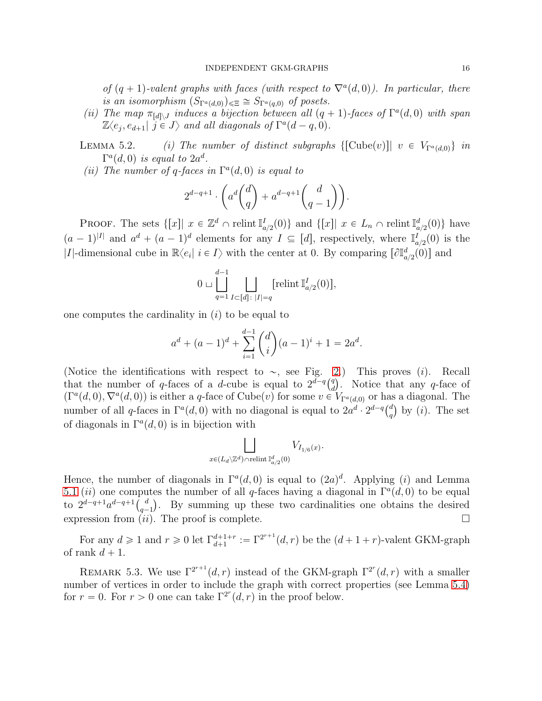of  $(q + 1)$ -valent graphs with faces (with respect to  $\nabla^a(d,0)$ ). In particular, there is an isomorphism  $(S_{\Gamma^a(d,0)})_{\leq \Xi} \cong S_{\Gamma^a(q,0)}$  of posets.

(ii) The map  $\pi_{[d] \setminus J}$  induces a bijection between all  $(q + 1)$ -faces of  $\Gamma^a(d, 0)$  with span  $\mathbb{Z}\langle e_j, e_{d+1} | j \in J \rangle$  and all diagonals of  $\Gamma^a(d-q,0)$ .

LEMMA 5.2. (i) The number of distinct subgraphs  $\{\text{[Cube}(v)]} \mid v \in V_{\Gamma^a(d,0)}\}$  in  $\Gamma^a(d,0)$  is equal to  $2a^d$ .

(ii) The number of q-faces in  $\Gamma^a(d,0)$  is equal to

$$
2^{d-q+1} \cdot \left( a^d \binom{d}{q} + a^{d-q+1} \binom{d}{q-1} \right).
$$

**PROOF.** The sets  $\{[x] | x \in \mathbb{Z}^d \cap \text{relint } \mathbb{I}_{a/2}^I(0)\}$  and  $\{[x] | x \in L_n \cap \text{relint } \mathbb{I}_{a/2}^d(0)\}$  have  $(a-1)^{|I|}$  and  $a^d + (a-1)^d$  elements for any  $I \subseteq [d]$ , respectively, where  $\mathbb{I}_{a/2}^I(0)$  is the |I|-dimensional cube in  $\mathbb{R}\langle e_i | i \in I \rangle$  with the center at 0. By comparing  $[\partial \mathbb{I}_{a/2}^d(0)]$  and

$$
0 \sqcup \bigsqcup_{q=1}^{d-1} \bigsqcup_{I \subset [d]: \ |I|=q} [\text{relint } \mathbb{I}_{a/2}^I (0)],
$$

one computes the cardinality in  $(i)$  to be equal to

$$
a^{d} + (a-1)^{d} + \sum_{i=1}^{d-1} {d \choose i} (a-1)^{i} + 1 = 2a^{d}.
$$

(Notice the identifications with respect to  $\sim$ , see Fig. [2.](#page-14-1)) This proves (i). Recall that the number of q-faces of a d-cube is equal to  $2^{d-q} \binom{q}{d}$  $\left(\begin{array}{cc} q \\ d \end{array}\right)$ . Notice that any q-face of  $(\Gamma^a(d,0), \nabla^a(d,0))$  is either a q-face of Cube(v) for some  $v \in V_{\Gamma^a(d,0)}$  or has a diagonal. The number of all q-faces in  $\Gamma^a(d,0)$  with no diagonal is equal to  $2a^d \cdot 2^{d-q} \binom{d}{a}$  $_q^d$  by (*i*). The set of diagonals in  $\Gamma^a(d,0)$  is in bijection with

$$
\bigsqcup_{x\in (L_d\backslash\mathbb{Z}^d)\cap\mathrm{relint}\frac{\mathbb{I}^d_{a/2}(0)}{h}}V_{I_{1/6}(x)}.
$$

Hence, the number of diagonals in  $\Gamma^a(d,0)$  is equal to  $(2a)^d$ . Applying *(i)* and Lemma 5.1 (*ii*) one computes the number of all q-faces having a diagonal in  $\Gamma^a(d,0)$  to be equal to  $2^{d-q+1}a^{d-q+1} {d \choose q-1}$ . By summing up these two cardinalities one obtains the desired expression from  $(ii)$ . The proof is complete.

For any  $d \geq 1$  and  $r \geq 0$  let  $\Gamma_{d+1}^{d+1+r} := \Gamma^{2^{r+1}}(d,r)$  be the  $(d+1+r)$ -valent GKM-graph of rank  $d + 1$ .

REMARK 5.3. We use  $\Gamma^{2^{r+1}}(d, r)$  instead of the GKM-graph  $\Gamma^{2^r}(d, r)$  with a smaller number of vertices in order to include the graph with correct properties (see Lemma [5.4\)](#page-16-0) for  $r = 0$ . For  $r > 0$  one can take  $\Gamma^{2r}(d, r)$  in the proof below.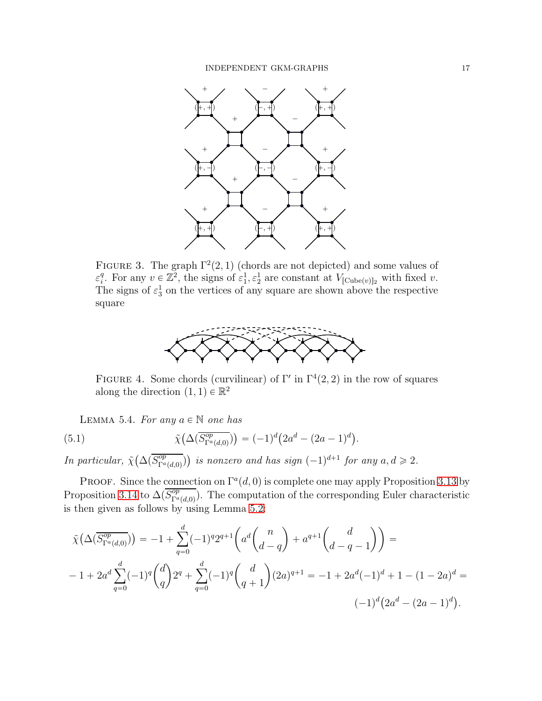<span id="page-16-1"></span>

<span id="page-16-2"></span>FIGURE 3. The graph  $\Gamma^2(2,1)$  (chords are not depicted) and some values of  $\varepsilon_i^q$ <sup>q</sup>. For any  $v \in \mathbb{Z}^2$ , the signs of  $\varepsilon_1^1, \varepsilon_2^1$  are constant at  $V_{[\text{Cube}(v)]_2}$  with fixed v. The signs of  $\varepsilon_3^1$  on the vertices of any square are shown above the respective square



FIGURE 4. Some chords (curvilinear) of  $\Gamma'$  in  $\Gamma^4(2, 2)$  in the row of squares along the direction  $(1, 1) \in \mathbb{R}^2$ 

<span id="page-16-0"></span>LEMMA 5.4. For any  $a \in \mathbb{N}$  one has

(5.1) 
$$
\tilde{\chi}(\Delta(\overline{S_{\Gamma^a(d,0)}^{op}})) = (-1)^d (2a^d - (2a - 1)^d).
$$

In particular,  $\tilde{\chi}(\Delta(\overline{S_{\Gamma^a(d,0)}^{\text{op}}}))$  is nonzero and has sign  $(-1)^{d+1}$  for any  $a, d \geq 2$ .

PROOF. Since the connection on  $\Gamma^a(d,0)$  is complete one may apply Proposition [3.13](#page-9-1) by Proposition [3.14](#page-9-0) to  $\Delta(\overline{S_{\Gamma^a(d,0)}^{op}})$ . The computation of the corresponding Euler characteristic is then given as follows by using Lemma 5.2:

$$
\tilde{\chi}\left(\Delta(\overline{S_{\Gamma^a(d,0)}^{op}})\right) = -1 + \sum_{q=0}^d (-1)^q 2^{q+1} \left(a^d \binom{n}{d-q} + a^{q+1} \binom{d}{d-q-1}\right) =
$$
\n
$$
-1 + 2a^d \sum_{q=0}^d (-1)^q \binom{d}{q} 2^q + \sum_{q=0}^d (-1)^q \binom{d}{q+1} (2a)^{q+1} = -1 + 2a^d (-1)^d + 1 - (1 - 2a)^d =
$$
\n
$$
(-1)^d \left(2a^d - (2a - 1)^d\right).
$$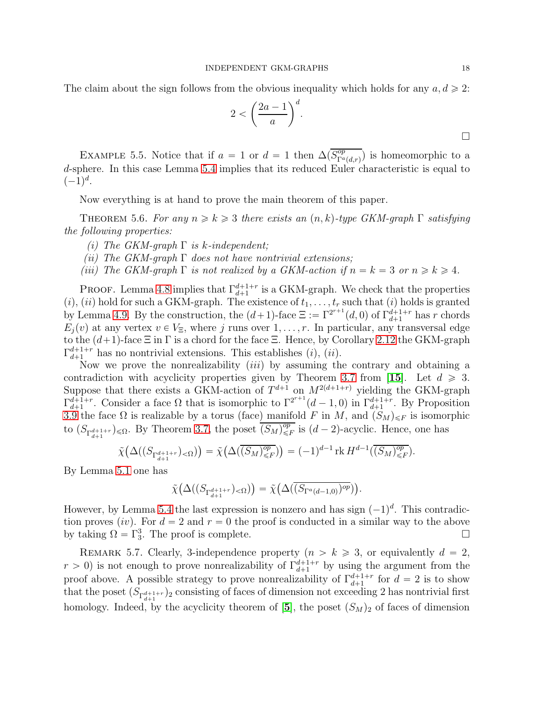The claim about the sign follows from the obvious inequality which holds for any  $a, d \geq 2$ :

$$
2 < \left(\frac{2a-1}{a}\right)^d.
$$

EXAMPLE 5.5. Notice that if  $a = 1$  or  $d = 1$  then  $\Delta(\overline{S_{\Gamma^a(d,r)}^{op}})$  is homeomorphic to a d-sphere. In this case Lemma [5.4](#page-16-0) implies that its reduced Euler characteristic is equal to  $(-1)^d$ .

Now everything is at hand to prove the main theorem of this paper.

<span id="page-17-0"></span>THEOREM 5.6. For any  $n \geq k \geq 3$  there exists an  $(n, k)$ -type GKM-graph  $\Gamma$  satisfying the following properties:

- (i) The GKM-graph  $\Gamma$  is k-independent;
- (ii) The GKM-graph  $\Gamma$  does not have nontrivial extensions;
- (iii) The GKM-graph  $\Gamma$  is not realized by a GKM-action if  $n = k = 3$  or  $n \ge k \ge 4$ .

**PROOF.** Lemma [4.8](#page-11-2) implies that  $\Gamma_{d+1}^{d+1+r}$  is a GKM-graph. We check that the properties  $(i)$ ,  $(ii)$  hold for such a GKM-graph. The existence of  $t_1, \ldots, t_r$  such that  $(i)$  holds is granted by Lemma [4.9.](#page-12-0) By the construction, the  $(d+1)$ -face  $\Xi := \Gamma^{2^{r+1}}(d,0)$  of  $\Gamma^{d+1+r}_{d+1}$  has r chords  $E_i(v)$  at any vertex  $v \in V_{\Xi}$ , where j runs over  $1, \ldots, r$ . In particular, any transversal edge to the  $(d+1)$ -face  $\Xi$  in Γ is a chord for the face  $\Xi$ . Hence, by Corollary [2.12](#page-6-0) the GKM-graph  $\Gamma_{d+1}^{d+1+r}$  $\frac{d+1+r}{d+1}$  has no nontrivial extensions. This establishes  $(i)$ ,  $(ii)$ .

Now we prove the nonrealizability *(iii)* by assuming the contrary and obtaining a contradiction with acyclicity properties given by Theorem [3.7](#page-7-2) from [[15](#page-19-4)]. Let  $d \geq 3$ . Suppose that there exists a GKM-action of  $T^{d+1}$  on  $M^{2(d+1+r)}$  yielding the GKM-graph  $\Gamma_{d+1}^{d+1+r}$  $\det_{d+1}^{d+1+r}$ . Consider a face  $\Omega$  that is isomorphic to  $\Gamma^{2^{r+1}}(d-1,0)$  in  $\Gamma^{d+1+r}_{d+1}$ . By Proposition [3.9](#page-7-0) the face  $\Omega$  is realizable by a torus (face) manifold F in M, and  $(S_M)_{\leq F}$  is isomorphic to  $(S_{\Gamma_{d+1}^{d+1+r}})_{\leq \Omega}$ . By Theorem [3.7,](#page-7-2) the poset  $\overline{(S_M)_{\leq \Omega}^{op}}$  $\overset{op}{\leq}$  is  $(d-2)$ -acyclic. Hence, one has

$$
\tilde{\chi}\big(\Delta((S_{\Gamma_{d+1}^{d+1+r}})_{\leq \Omega})\big) = \tilde{\chi}\big(\Delta(\overline{(S_M)_{\leq F}^{op}})\big) = (-1)^{d-1} \operatorname{rk} H^{d-1}(\overline{(S_M)_{\leq F}^{op}}).
$$

By Lemma 5.1 one has

$$
\tilde{\chi}(\Delta((S_{\Gamma_{d+1}^{d+1+r}})_{< \Omega})) = \tilde{\chi}(\Delta(\overline{(S_{\Gamma^a(d-1,0)})^{op}})).
$$

However, by Lemma [5.4](#page-16-0) the last expression is nonzero and has sign  $(-1)^d$ . This contradiction proves (iv). For  $d = 2$  and  $r = 0$  the proof is conducted in a similar way to the above by taking  $\Omega = \Gamma_3^3$ . The proof is complete.

REMARK 5.7. Clearly, 3-independence property  $(n > k \geq 3)$ , or equivalently  $d = 2$ ,  $r > 0$ ) is not enough to prove nonrealizability of  $\Gamma_{d+1}^{d+1+r}$  by using the argument from the proof above. A possible strategy to prove nonrealizability of  $\Gamma_{d+1}^{d+1+r}$  for  $d = 2$  is to show that the poset  $(S_{\Gamma_{d+1}^{d+1+r}})_2$  consisting of faces of dimension not exceeding 2 has nontrivial first homology. Indeed, by the acyclicity theorem of  $[5]$  $[5]$  $[5]$ , the poset  $(S_M)_2$  of faces of dimension

 $\Box$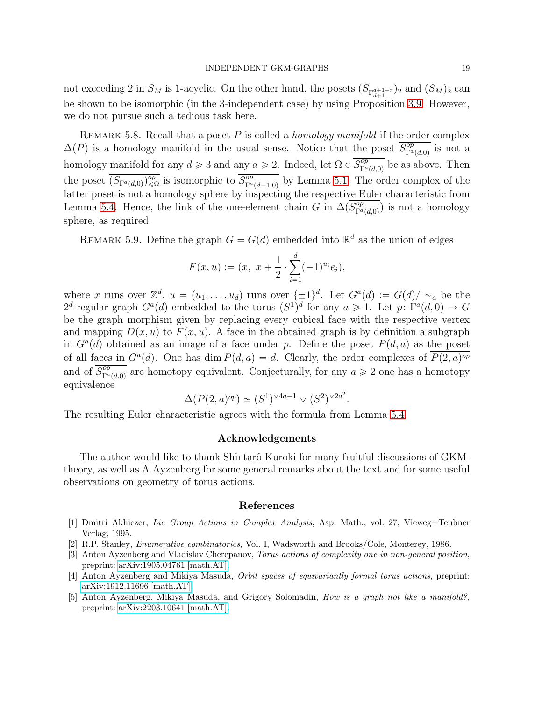not exceeding 2 in  $S_M$  is 1-acyclic. On the other hand, the posets  $(S_{\Gamma_{d+1}^{d+1+r}})_2$  and  $(S_M)_2$  can be shown to be isomorphic (in the 3-independent case) by using Proposition [3.9.](#page-7-0) However, we do not pursue such a tedious task here.

REMARK 5.8. Recall that a poset P is called a *homology manifold* if the order complex  $\Delta(P)$  is a homology manifold in the usual sense. Notice that the poset  $\overline{S_{\Gamma^a(d,0)}^{op}}$  is not a homology manifold for any  $d \ge 3$  and any  $a \ge 2$ . Indeed, let  $\Omega \in \overline{S_{\Gamma^a(d,0)}^{op}}$  be as above. Then the poset  $\overline{(S_{\Gamma^a(d,0)})_{\leq \Omega}^{op}}$  is isomorphic to  $\overline{S_{\Gamma^a(d-1,0)}^{op}}$  by Lemma 5.1. The order complex of the latter poset is not a homology sphere by inspecting the respective Euler characteristic from Lemma [5.4.](#page-16-0) Hence, the link of the one-element chain G in  $\Delta(\overline{S_{\Gamma^a(d,0)}^{op}})$  is not a homology sphere, as required.

REMARK 5.9. Define the graph  $G = G(d)$  embedded into  $\mathbb{R}^d$  as the union of edges

$$
F(x, u) := (x, x + \frac{1}{2} \cdot \sum_{i=1}^{d} (-1)^{u_i} e_i),
$$

where x runs over  $\mathbb{Z}^d$ ,  $u = (u_1, \ldots, u_d)$  runs over  $\{\pm 1\}^d$ . Let  $G^a(d) := G(d)/\sim_a$  be the 2<sup>d</sup>-regular graph  $G^a(d)$  embedded to the torus  $(S^1)^d$  for any  $a \geq 1$ . Let  $p: \Gamma^a(d,0) \to G$ be the graph morphism given by replacing every cubical face with the respective vertex and mapping  $D(x, u)$  to  $F(x, u)$ . A face in the obtained graph is by definition a subgraph in  $G^a(d)$  obtained as an image of a face under p. Define the poset  $P(d, a)$  as the poset of all faces in  $G^a(d)$ . One has dim  $P(d, a) = d$ . Clearly, the order complexes of  $\overline{P(2, a)^{op}}$ and of  $\overline{S_{\Gamma^a(d,0)}^{op}}$  are homotopy equivalent. Conjecturally, for any  $a \geq 2$  one has a homotopy equivalence

$$
\Delta(\overline{P(2,a)^{op}}) \simeq (S^1)^{\vee 4a - 1} \vee (S^2)^{\vee 2a^2}.
$$

The resulting Euler characteristic agrees with the formula from Lemma [5.4.](#page-16-0)

#### Acknowledgements

The author would like to thank Shintarô Kuroki for many fruitful discussions of GKMtheory, as well as A.Ayzenberg for some general remarks about the text and for some useful observations on geometry of torus actions.

#### References

- <span id="page-18-3"></span>[1] Dmitri Akhiezer, Lie Group Actions in Complex Analysis, Asp. Math., vol. 27, Vieweg+Teubner Verlag, 1995.
- <span id="page-18-4"></span>[2] R.P. Stanley, Enumerative combinatorics, Vol. I, Wadsworth and Brooks/Cole, Monterey, 1986.
- <span id="page-18-2"></span>[3] Anton Ayzenberg and Vladislav Cherepanov, Torus actions of complexity one in non-general position, preprint: [arXiv:1905.04761 \[math.AT\].](https://arxiv.org/abs/1905.04761)
- <span id="page-18-1"></span>[4] Anton Ayzenberg and Mikiya Masuda, Orbit spaces of equivariantly formal torus actions, preprint: [arXiv:1912.11696 \[math.AT\].](https://arxiv.org/abs/1912.11696)
- <span id="page-18-0"></span>[5] Anton Ayzenberg, Mikiya Masuda, and Grigory Solomadin, How is a graph not like a manifold?, preprint: [arXiv:2203.10641 \[math.AT\].](https://arxiv.org/abs/2203.10641)